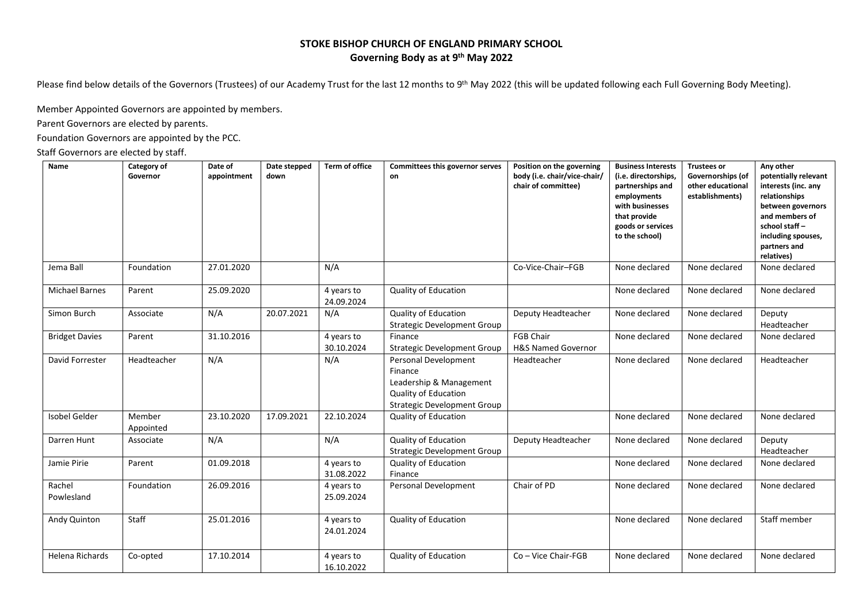## **STOKE BISHOP CHURCH OF ENGLAND PRIMARY SCHOOL Governing Body as at 9 th May 2022**

Please find below details of the Governors (Trustees) of our Academy Trust for the last 12 months to 9<sup>th</sup> May 2022 (this will be updated following each Full Governing Body Meeting).

Member Appointed Governors are appointed by members.

Parent Governors are elected by parents.

Foundation Governors are appointed by the PCC.

Staff Governors are elected by staff.

| Name                  | Category of<br>Governor | Date of<br>appointment | Date stepped<br>down | <b>Term of office</b>    | Committees this governor serves<br>on                                                                                           | Position on the governing<br>body (i.e. chair/vice-chair/<br>chair of committee) | <b>Business Interests</b><br>(i.e. directorships,<br>partnerships and<br>employments<br>with businesses<br>that provide<br>goods or services<br>to the school) | <b>Trustees or</b><br>Governorships (of<br>other educational<br>establishments) | Any other<br>potentially relevant<br>interests (inc. any<br>relationships<br>between governors<br>and members of<br>school staff-<br>including spouses,<br>partners and<br>relatives) |
|-----------------------|-------------------------|------------------------|----------------------|--------------------------|---------------------------------------------------------------------------------------------------------------------------------|----------------------------------------------------------------------------------|----------------------------------------------------------------------------------------------------------------------------------------------------------------|---------------------------------------------------------------------------------|---------------------------------------------------------------------------------------------------------------------------------------------------------------------------------------|
| Jema Ball             | Foundation              | 27.01.2020             |                      | N/A                      |                                                                                                                                 | Co-Vice-Chair-FGB                                                                | None declared                                                                                                                                                  | None declared                                                                   | None declared                                                                                                                                                                         |
| <b>Michael Barnes</b> | Parent                  | 25.09.2020             |                      | 4 years to<br>24.09.2024 | Quality of Education                                                                                                            |                                                                                  | None declared                                                                                                                                                  | None declared                                                                   | None declared                                                                                                                                                                         |
| Simon Burch           | Associate               | N/A                    | 20.07.2021           | N/A                      | <b>Quality of Education</b><br><b>Strategic Development Group</b>                                                               | Deputy Headteacher                                                               | None declared                                                                                                                                                  | None declared                                                                   | Deputy<br>Headteacher                                                                                                                                                                 |
| <b>Bridget Davies</b> | Parent                  | 31.10.2016             |                      | 4 years to<br>30.10.2024 | Finance<br><b>Strategic Development Group</b>                                                                                   | <b>FGB Chair</b><br><b>H&amp;S Named Governor</b>                                | None declared                                                                                                                                                  | None declared                                                                   | None declared                                                                                                                                                                         |
| David Forrester       | Headteacher             | N/A                    |                      | N/A                      | Personal Development<br>Finance<br>Leadership & Management<br><b>Quality of Education</b><br><b>Strategic Development Group</b> | Headteacher                                                                      | None declared                                                                                                                                                  | None declared                                                                   | Headteacher                                                                                                                                                                           |
| <b>Isobel Gelder</b>  | Member<br>Appointed     | 23.10.2020             | 17.09.2021           | 22.10.2024               | <b>Quality of Education</b>                                                                                                     |                                                                                  | None declared                                                                                                                                                  | None declared                                                                   | None declared                                                                                                                                                                         |
| Darren Hunt           | Associate               | N/A                    |                      | N/A                      | Quality of Education<br><b>Strategic Development Group</b>                                                                      | Deputy Headteacher                                                               | None declared                                                                                                                                                  | None declared                                                                   | Deputy<br>Headteacher                                                                                                                                                                 |
| Jamie Pirie           | Parent                  | 01.09.2018             |                      | 4 years to<br>31.08.2022 | Quality of Education<br>Finance                                                                                                 |                                                                                  | None declared                                                                                                                                                  | None declared                                                                   | None declared                                                                                                                                                                         |
| Rachel<br>Powlesland  | Foundation              | 26.09.2016             |                      | 4 years to<br>25.09.2024 | Personal Development                                                                                                            | Chair of PD                                                                      | None declared                                                                                                                                                  | None declared                                                                   | None declared                                                                                                                                                                         |
| Andy Quinton          | Staff                   | 25.01.2016             |                      | 4 years to<br>24.01.2024 | Quality of Education                                                                                                            |                                                                                  | None declared                                                                                                                                                  | None declared                                                                   | Staff member                                                                                                                                                                          |
| Helena Richards       | Co-opted                | 17.10.2014             |                      | 4 years to<br>16.10.2022 | Quality of Education                                                                                                            | Co - Vice Chair-FGB                                                              | None declared                                                                                                                                                  | None declared                                                                   | None declared                                                                                                                                                                         |